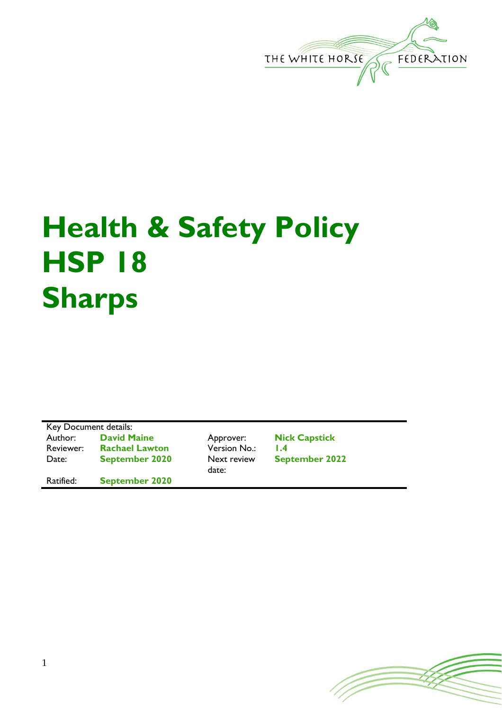

## **Health & Safety Policy HSP 18 Sharps**

Key Document details: Author: **David Maine Approver: Nick Capstick**<br>
Reviewer: **Rachael Lawton Version No.: 1.4** Rachael Lawton Version No.: 1.4 Date: **September 2020** Next review Ratified: **September 2020**

date:

**September 2022**

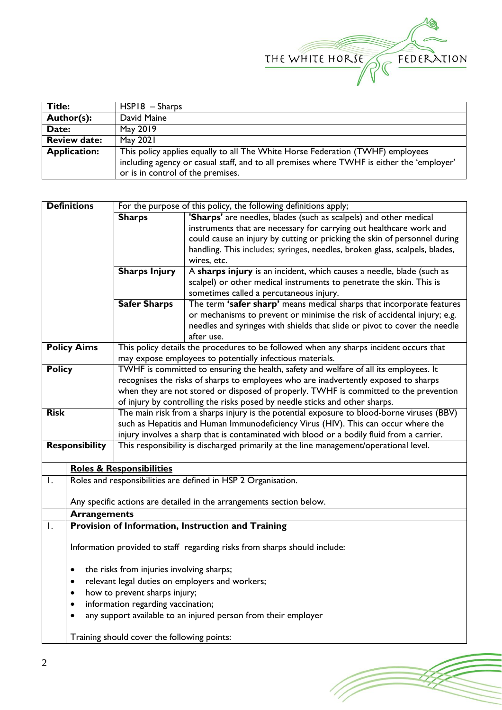

| <b>Title:</b>       | $HSP18 - Sharps$                                                                          |
|---------------------|-------------------------------------------------------------------------------------------|
| Author(s):          | David Maine                                                                               |
| Date:               | May 2019                                                                                  |
| <b>Review date:</b> | May 2021                                                                                  |
| <b>Application:</b> | This policy applies equally to all The White Horse Federation (TWHF) employees            |
|                     | including agency or casual staff, and to all premises where TWHF is either the 'employer' |
|                     | or is in control of the premises.                                                         |

|                       | <b>Definitions</b><br>For the purpose of this policy, the following definitions apply; |                                                                                           |                                                                                       |  |  |  |  |
|-----------------------|----------------------------------------------------------------------------------------|-------------------------------------------------------------------------------------------|---------------------------------------------------------------------------------------|--|--|--|--|
|                       |                                                                                        | <b>Sharps</b>                                                                             | 'Sharps' are needles, blades (such as scalpels) and other medical                     |  |  |  |  |
|                       |                                                                                        |                                                                                           | instruments that are necessary for carrying out healthcare work and                   |  |  |  |  |
|                       |                                                                                        |                                                                                           | could cause an injury by cutting or pricking the skin of personnel during             |  |  |  |  |
|                       |                                                                                        |                                                                                           | handling. This includes; syringes, needles, broken glass, scalpels, blades,           |  |  |  |  |
|                       |                                                                                        |                                                                                           | wires, etc.                                                                           |  |  |  |  |
|                       |                                                                                        | <b>Sharps Injury</b>                                                                      | A sharps injury is an incident, which causes a needle, blade (such as                 |  |  |  |  |
|                       |                                                                                        |                                                                                           | scalpel) or other medical instruments to penetrate the skin. This is                  |  |  |  |  |
|                       |                                                                                        |                                                                                           | sometimes called a percutaneous injury.                                               |  |  |  |  |
|                       |                                                                                        | <b>Safer Sharps</b>                                                                       | The term 'safer sharp' means medical sharps that incorporate features                 |  |  |  |  |
|                       |                                                                                        |                                                                                           | or mechanisms to prevent or minimise the risk of accidental injury; e.g.              |  |  |  |  |
|                       |                                                                                        |                                                                                           | needles and syringes with shields that slide or pivot to cover the needle             |  |  |  |  |
|                       |                                                                                        |                                                                                           | after use.                                                                            |  |  |  |  |
| <b>Policy Aims</b>    |                                                                                        | This policy details the procedures to be followed when any sharps incident occurs that    |                                                                                       |  |  |  |  |
|                       |                                                                                        |                                                                                           | may expose employees to potentially infectious materials.                             |  |  |  |  |
| <b>Policy</b>         |                                                                                        | TWHF is committed to ensuring the health, safety and welfare of all its employees. It     |                                                                                       |  |  |  |  |
|                       |                                                                                        |                                                                                           | recognises the risks of sharps to employees who are inadvertently exposed to sharps   |  |  |  |  |
|                       |                                                                                        | when they are not stored or disposed of properly. TWHF is committed to the prevention     |                                                                                       |  |  |  |  |
|                       |                                                                                        | of injury by controlling the risks posed by needle sticks and other sharps.               |                                                                                       |  |  |  |  |
| <b>Risk</b>           |                                                                                        | The main risk from a sharps injury is the potential exposure to blood-borne viruses (BBV) |                                                                                       |  |  |  |  |
|                       |                                                                                        | such as Hepatitis and Human Immunodeficiency Virus (HIV). This can occur where the        |                                                                                       |  |  |  |  |
|                       |                                                                                        | injury involves a sharp that is contaminated with blood or a bodily fluid from a carrier. |                                                                                       |  |  |  |  |
| <b>Responsibility</b> |                                                                                        |                                                                                           | This responsibility is discharged primarily at the line management/operational level. |  |  |  |  |
|                       |                                                                                        | <b>Roles &amp; Responsibilities</b>                                                       |                                                                                       |  |  |  |  |
| $\mathsf{I}$ .        |                                                                                        |                                                                                           | Roles and responsibilities are defined in HSP 2 Organisation.                         |  |  |  |  |
|                       |                                                                                        |                                                                                           |                                                                                       |  |  |  |  |
|                       |                                                                                        |                                                                                           | Any specific actions are detailed in the arrangements section below.                  |  |  |  |  |
|                       | <b>Arrangements</b>                                                                    |                                                                                           |                                                                                       |  |  |  |  |
| Ι.                    |                                                                                        |                                                                                           | Provision of Information, Instruction and Training                                    |  |  |  |  |
|                       | Information provided to staff regarding risks from sharps should include:              |                                                                                           |                                                                                       |  |  |  |  |
|                       | the risks from injuries involving sharps;                                              |                                                                                           |                                                                                       |  |  |  |  |
|                       | relevant legal duties on employers and workers;                                        |                                                                                           |                                                                                       |  |  |  |  |
|                       | how to prevent sharps injury;                                                          |                                                                                           |                                                                                       |  |  |  |  |
|                       |                                                                                        | information regarding vaccination;                                                        |                                                                                       |  |  |  |  |
|                       |                                                                                        |                                                                                           | any support available to an injured person from their employer                        |  |  |  |  |
|                       |                                                                                        |                                                                                           |                                                                                       |  |  |  |  |
|                       | Training should cover the following points:                                            |                                                                                           |                                                                                       |  |  |  |  |

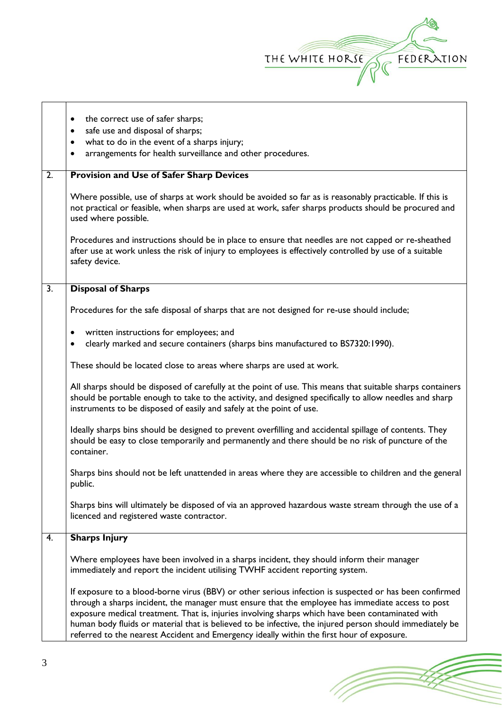

|                  | the correct use of safer sharps;<br>$\bullet$<br>safe use and disposal of sharps;<br>٠                                                                                                                                                                                                                                                                                                                                                                                                                                   |  |  |  |  |
|------------------|--------------------------------------------------------------------------------------------------------------------------------------------------------------------------------------------------------------------------------------------------------------------------------------------------------------------------------------------------------------------------------------------------------------------------------------------------------------------------------------------------------------------------|--|--|--|--|
|                  | what to do in the event of a sharps injury;<br>٠<br>arrangements for health surveillance and other procedures.<br>$\bullet$                                                                                                                                                                                                                                                                                                                                                                                              |  |  |  |  |
| $\overline{2}$ . | <b>Provision and Use of Safer Sharp Devices</b>                                                                                                                                                                                                                                                                                                                                                                                                                                                                          |  |  |  |  |
|                  | Where possible, use of sharps at work should be avoided so far as is reasonably practicable. If this is<br>not practical or feasible, when sharps are used at work, safer sharps products should be procured and<br>used where possible.                                                                                                                                                                                                                                                                                 |  |  |  |  |
|                  | Procedures and instructions should be in place to ensure that needles are not capped or re-sheathed<br>after use at work unless the risk of injury to employees is effectively controlled by use of a suitable<br>safety device.                                                                                                                                                                                                                                                                                         |  |  |  |  |
| $\overline{3}$ . | <b>Disposal of Sharps</b>                                                                                                                                                                                                                                                                                                                                                                                                                                                                                                |  |  |  |  |
|                  | Procedures for the safe disposal of sharps that are not designed for re-use should include;                                                                                                                                                                                                                                                                                                                                                                                                                              |  |  |  |  |
|                  | written instructions for employees; and<br>٠<br>clearly marked and secure containers (sharps bins manufactured to BS7320:1990).<br>٠                                                                                                                                                                                                                                                                                                                                                                                     |  |  |  |  |
|                  | These should be located close to areas where sharps are used at work.                                                                                                                                                                                                                                                                                                                                                                                                                                                    |  |  |  |  |
|                  | All sharps should be disposed of carefully at the point of use. This means that suitable sharps containers<br>should be portable enough to take to the activity, and designed specifically to allow needles and sharp<br>instruments to be disposed of easily and safely at the point of use.                                                                                                                                                                                                                            |  |  |  |  |
|                  | Ideally sharps bins should be designed to prevent overfilling and accidental spillage of contents. They<br>should be easy to close temporarily and permanently and there should be no risk of puncture of the<br>container.                                                                                                                                                                                                                                                                                              |  |  |  |  |
|                  | Sharps bins should not be left unattended in areas where they are accessible to children and the general<br>public.                                                                                                                                                                                                                                                                                                                                                                                                      |  |  |  |  |
|                  | Sharps bins will ultimately be disposed of via an approved hazardous waste stream through the use of a<br>licenced and registered waste contractor.                                                                                                                                                                                                                                                                                                                                                                      |  |  |  |  |
| 4.               | <b>Sharps Injury</b>                                                                                                                                                                                                                                                                                                                                                                                                                                                                                                     |  |  |  |  |
|                  | Where employees have been involved in a sharps incident, they should inform their manager<br>immediately and report the incident utilising TWHF accident reporting system.                                                                                                                                                                                                                                                                                                                                               |  |  |  |  |
|                  | If exposure to a blood-borne virus (BBV) or other serious infection is suspected or has been confirmed<br>through a sharps incident, the manager must ensure that the employee has immediate access to post<br>exposure medical treatment. That is, injuries involving sharps which have been contaminated with<br>human body fluids or material that is believed to be infective, the injured person should immediately be<br>referred to the nearest Accident and Emergency ideally within the first hour of exposure. |  |  |  |  |